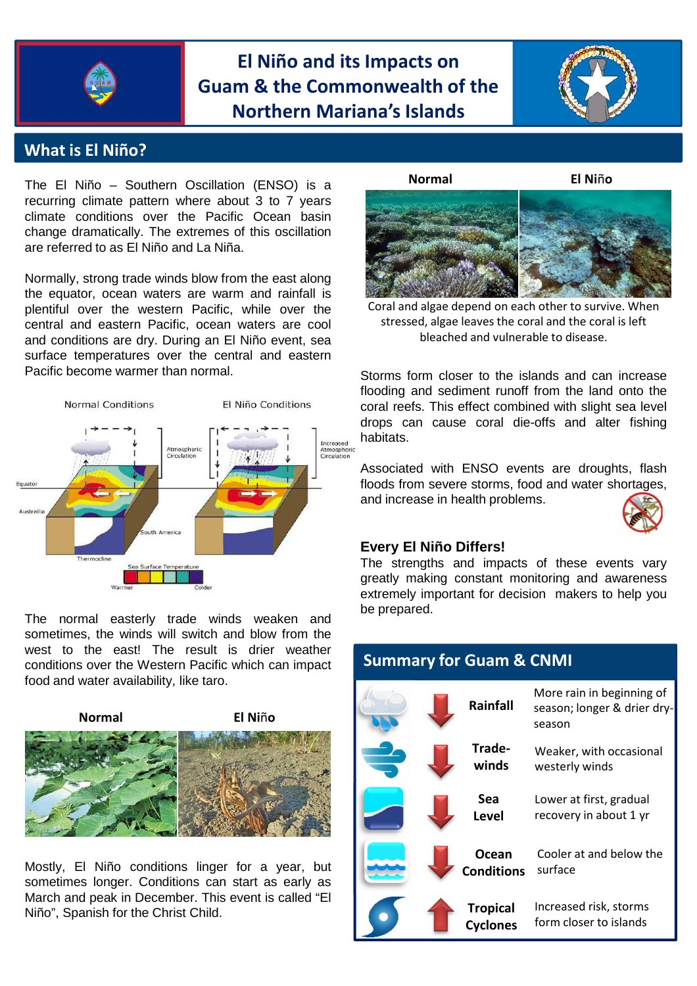

## **El Niño and its Impacts on Guam & the Commonwealth of the Northern Mariana's Islands**



### **What is El Niño?**

The El Niño – Southern Oscillation (ENSO) is a recurring climate pattern where about 3 to 7 years climate conditions over the Pacific Ocean basin change dramatically. The extremes of this oscillation are referred to as El Niño and La Niña.

Normally, strong trade winds blow from the east along the equator, ocean waters are warm and rainfall is plentiful over the western Pacific, while over the central and eastern Pacific, ocean waters are cool and conditions are dry. During an El Niño event, sea surface temperatures over the central and eastern Pacific become warmer than normal.



The normal easterly trade winds weaken and sometimes, the winds will switch and blow from the west to the east! The result is drier weather conditions over the Western Pacific which can impact food and water availability, like taro.



Mostly, El Niño conditions linger for a year, but sometimes longer. Conditions can start as early as March and peak in December. This event is called "El Niño", Spanish for the Christ Child.



bleached and vulnerable to disease. Coral and algae depend on each other to survive. When stressed, algae leaves the coral and the coral is left

Storms form closer to the islands and can increase flooding and sediment runoff from the land onto the coral reefs. This effect combined with slight sea level drops can cause coral die-offs and alter fishing habitats.

Associated with ENSO events are droughts, flash floods from severe storms, food and water shortages, and increase in health problems.



#### **Every El Niño Differs!**

The strengths and impacts of these events vary greatly making constant monitoring and awareness extremely important for decision makers to help you be prepared.

| <b>Summary for Guam &amp; CNMI</b> |  |                                    |                                                                    |
|------------------------------------|--|------------------------------------|--------------------------------------------------------------------|
|                                    |  | Rainfall                           | More rain in beginning of<br>season; longer & drier dry-<br>season |
|                                    |  | Trade-<br>winds                    | Weaker, with occasional<br>westerly winds                          |
|                                    |  | Sea<br><b>Level</b>                | Lower at first, gradual<br>recovery in about 1 yr                  |
|                                    |  | Ocean<br><b>Conditions</b>         | Cooler at and below the<br>surface                                 |
|                                    |  | <b>Tropical</b><br><b>Cyclones</b> | Increased risk, storms<br>form closer to islands                   |